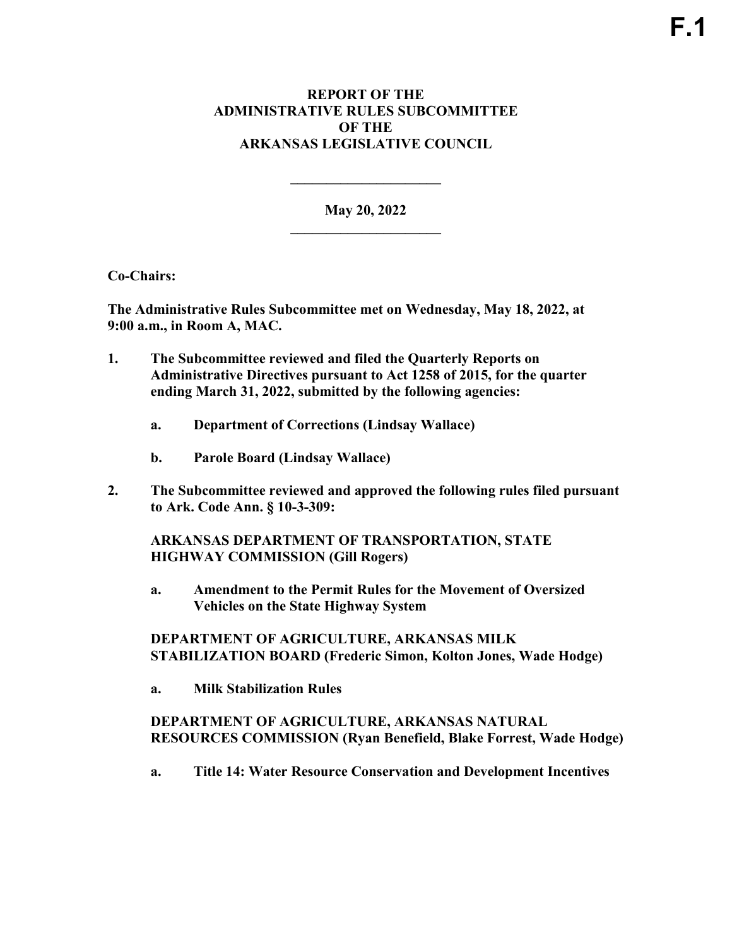## **REPORT OF THE ADMINISTRATIVE RULES SUBCOMMITTEE OF THE ARKANSAS LEGISLATIVE COUNCIL**

**May 20, 2022 \_\_\_\_\_\_\_\_\_\_\_\_\_\_\_\_\_\_\_\_\_** 

**\_\_\_\_\_\_\_\_\_\_\_\_\_\_\_\_\_\_\_\_\_** 

**Co-Chairs:** 

**The Administrative Rules Subcommittee met on Wednesday, May 18, 2022, at 9:00 a.m., in Room A, MAC.** 

- **1. The Subcommittee reviewed and filed the Quarterly Reports on Administrative Directives pursuant to Act 1258 of 2015, for the quarter ending March 31, 2022, submitted by the following agencies:**
	- **a. Department of Corrections (Lindsay Wallace)**
	- **b. Parole Board (Lindsay Wallace)**
- **2. The Subcommittee reviewed and approved the following rules filed pursuant to Ark. Code Ann. § 10-3-309:**

**ARKANSAS DEPARTMENT OF TRANSPORTATION, STATE HIGHWAY COMMISSION (Gill Rogers)** 

**a. Amendment to the Permit Rules for the Movement of Oversized Vehicles on the State Highway System**

**DEPARTMENT OF AGRICULTURE, ARKANSAS MILK STABILIZATION BOARD (Frederic Simon, Kolton Jones, Wade Hodge)** 

**a. Milk Stabilization Rules**

**DEPARTMENT OF AGRICULTURE, ARKANSAS NATURAL RESOURCES COMMISSION (Ryan Benefield, Blake Forrest, Wade Hodge)** 

**a. Title 14: Water Resource Conservation and Development Incentives**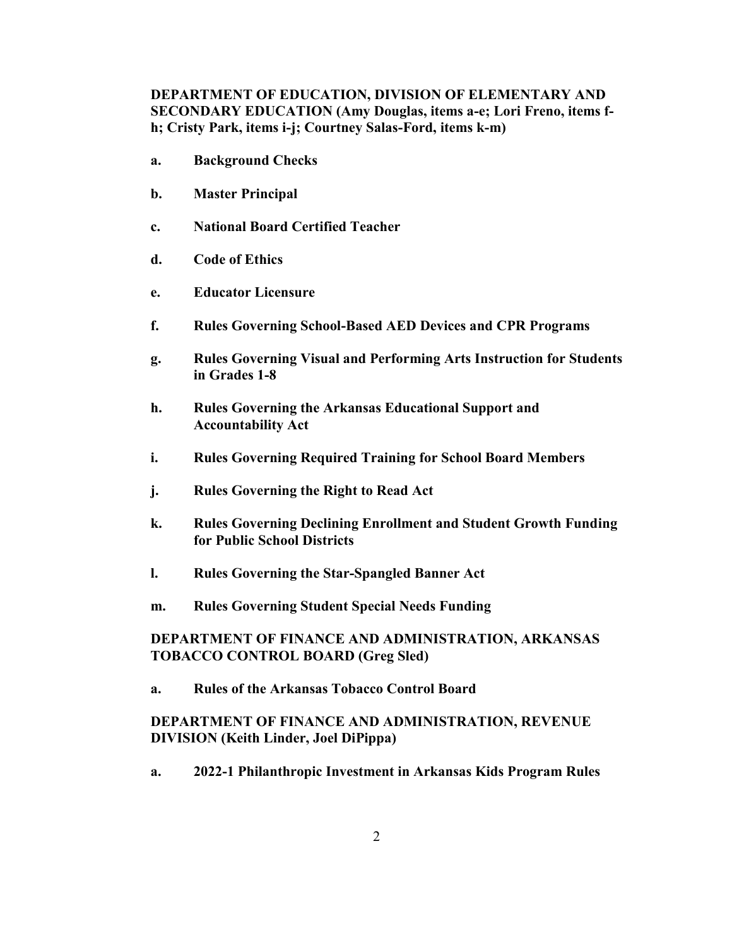**DEPARTMENT OF EDUCATION, DIVISION OF ELEMENTARY AND SECONDARY EDUCATION (Amy Douglas, items a-e; Lori Freno, items fh; Cristy Park, items i-j; Courtney Salas-Ford, items k-m)**

- **a. Background Checks**
- **b. Master Principal**
- **c. National Board Certified Teacher**
- **d. Code of Ethics**
- **e. Educator Licensure**
- **f. Rules Governing School-Based AED Devices and CPR Programs**
- **g. Rules Governing Visual and Performing Arts Instruction for Students in Grades 1-8**
- **h. Rules Governing the Arkansas Educational Support and Accountability Act**
- **i. Rules Governing Required Training for School Board Members**
- **j. Rules Governing the Right to Read Act**
- **k. Rules Governing Declining Enrollment and Student Growth Funding for Public School Districts**
- **l. Rules Governing the Star-Spangled Banner Act**
- **m. Rules Governing Student Special Needs Funding**

## **DEPARTMENT OF FINANCE AND ADMINISTRATION, ARKANSAS TOBACCO CONTROL BOARD (Greg Sled)**

**a. Rules of the Arkansas Tobacco Control Board**

## **DEPARTMENT OF FINANCE AND ADMINISTRATION, REVENUE DIVISION (Keith Linder, Joel DiPippa)**

**a. 2022-1 Philanthropic Investment in Arkansas Kids Program Rules**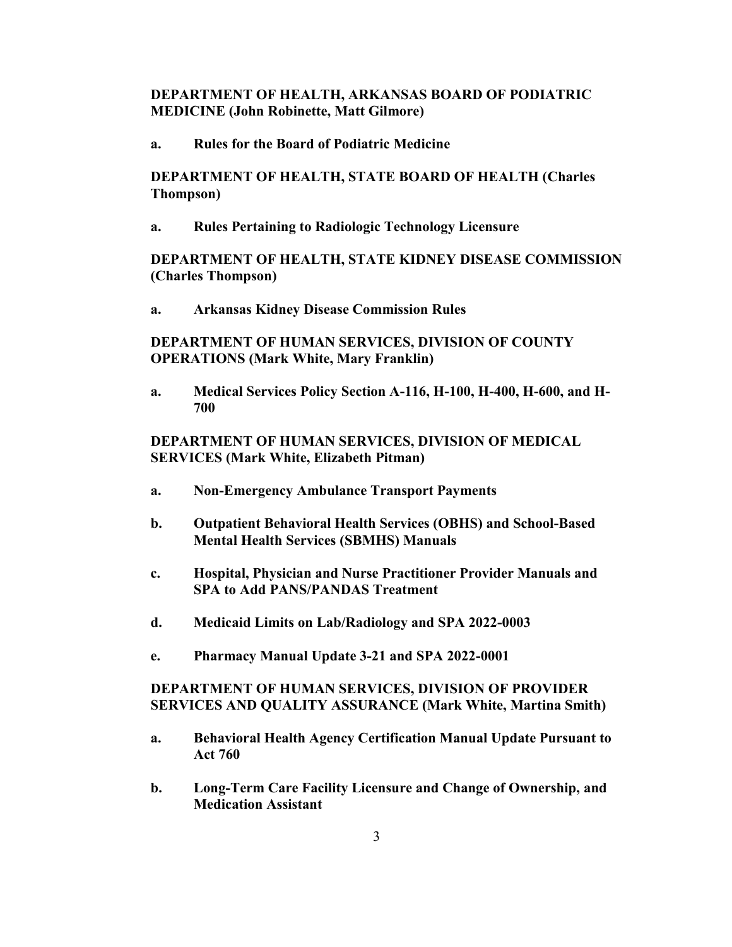### **DEPARTMENT OF HEALTH, ARKANSAS BOARD OF PODIATRIC MEDICINE (John Robinette, Matt Gilmore)**

**a. Rules for the Board of Podiatric Medicine**

**DEPARTMENT OF HEALTH, STATE BOARD OF HEALTH (Charles Thompson)**

**a. Rules Pertaining to Radiologic Technology Licensure**

#### **DEPARTMENT OF HEALTH, STATE KIDNEY DISEASE COMMISSION (Charles Thompson)**

**a. Arkansas Kidney Disease Commission Rules**

## **DEPARTMENT OF HUMAN SERVICES, DIVISION OF COUNTY OPERATIONS (Mark White, Mary Franklin)**

**a. Medical Services Policy Section A-116, H-100, H-400, H-600, and H-700**

## **DEPARTMENT OF HUMAN SERVICES, DIVISION OF MEDICAL SERVICES (Mark White, Elizabeth Pitman)**

- **a. Non-Emergency Ambulance Transport Payments**
- **b. Outpatient Behavioral Health Services (OBHS) and School-Based Mental Health Services (SBMHS) Manuals**
- **c. Hospital, Physician and Nurse Practitioner Provider Manuals and SPA to Add PANS/PANDAS Treatment**
- **d. Medicaid Limits on Lab/Radiology and SPA 2022-0003**
- **e. Pharmacy Manual Update 3-21 and SPA 2022-0001**

## **DEPARTMENT OF HUMAN SERVICES, DIVISION OF PROVIDER SERVICES AND QUALITY ASSURANCE (Mark White, Martina Smith)**

- **a. Behavioral Health Agency Certification Manual Update Pursuant to Act 760**
- **b. Long-Term Care Facility Licensure and Change of Ownership, and Medication Assistant**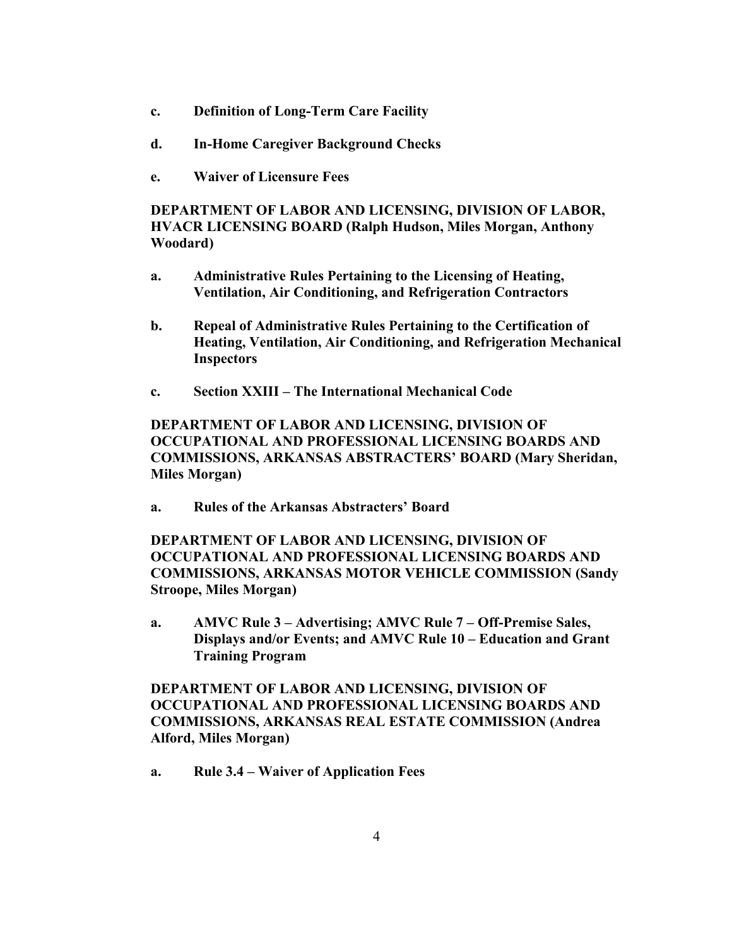- **c. Definition of Long-Term Care Facility**
- **d. In-Home Caregiver Background Checks**
- **e. Waiver of Licensure Fees**

**DEPARTMENT OF LABOR AND LICENSING, DIVISION OF LABOR, HVACR LICENSING BOARD (Ralph Hudson, Miles Morgan, Anthony Woodard)**

- **a. Administrative Rules Pertaining to the Licensing of Heating, Ventilation, Air Conditioning, and Refrigeration Contractors**
- **b. Repeal of Administrative Rules Pertaining to the Certification of Heating, Ventilation, Air Conditioning, and Refrigeration Mechanical Inspectors**
- **c. Section XXIII – The International Mechanical Code**

**DEPARTMENT OF LABOR AND LICENSING, DIVISION OF OCCUPATIONAL AND PROFESSIONAL LICENSING BOARDS AND COMMISSIONS, ARKANSAS ABSTRACTERS' BOARD (Mary Sheridan, Miles Morgan)**

**a. Rules of the Arkansas Abstracters' Board**

**DEPARTMENT OF LABOR AND LICENSING, DIVISION OF OCCUPATIONAL AND PROFESSIONAL LICENSING BOARDS AND COMMISSIONS, ARKANSAS MOTOR VEHICLE COMMISSION (Sandy Stroope, Miles Morgan)**

**a. AMVC Rule 3 – Advertising; AMVC Rule 7 – Off-Premise Sales, Displays and/or Events; and AMVC Rule 10 – Education and Grant Training Program**

**DEPARTMENT OF LABOR AND LICENSING, DIVISION OF OCCUPATIONAL AND PROFESSIONAL LICENSING BOARDS AND COMMISSIONS, ARKANSAS REAL ESTATE COMMISSION (Andrea Alford, Miles Morgan)**

**a. Rule 3.4 – Waiver of Application Fees**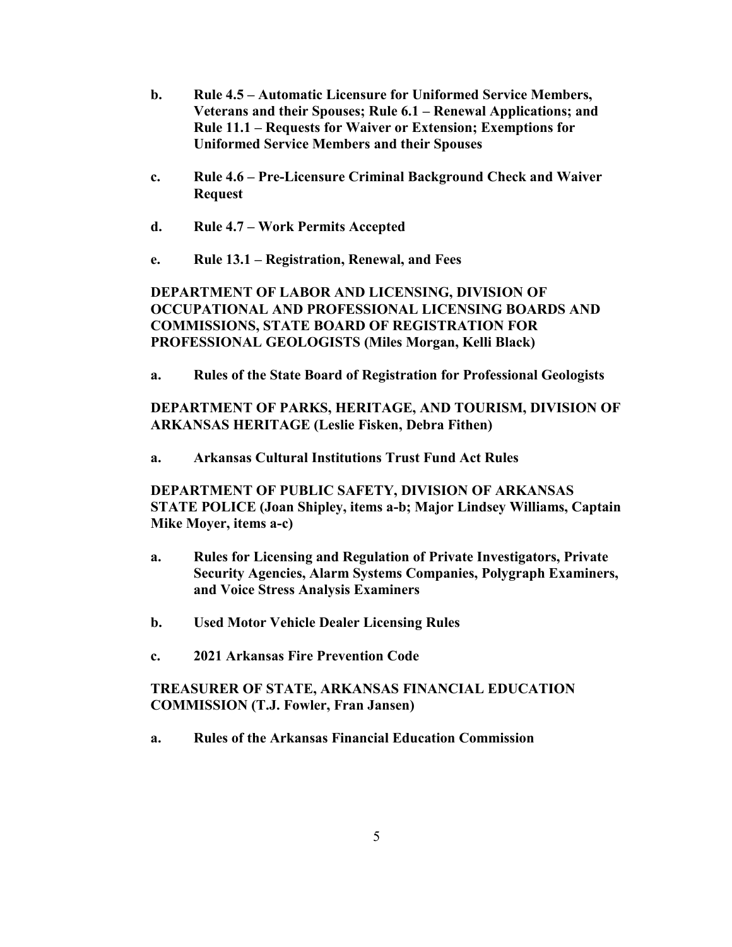- **b. Rule 4.5 – Automatic Licensure for Uniformed Service Members, Veterans and their Spouses; Rule 6.1 – Renewal Applications; and Rule 11.1 – Requests for Waiver or Extension; Exemptions for Uniformed Service Members and their Spouses**
- **c. Rule 4.6 – Pre-Licensure Criminal Background Check and Waiver Request**
- **d. Rule 4.7 – Work Permits Accepted**
- **e. Rule 13.1 – Registration, Renewal, and Fees**

## **DEPARTMENT OF LABOR AND LICENSING, DIVISION OF OCCUPATIONAL AND PROFESSIONAL LICENSING BOARDS AND COMMISSIONS, STATE BOARD OF REGISTRATION FOR PROFESSIONAL GEOLOGISTS (Miles Morgan, Kelli Black)**

**a. Rules of the State Board of Registration for Professional Geologists**

# **DEPARTMENT OF PARKS, HERITAGE, AND TOURISM, DIVISION OF ARKANSAS HERITAGE (Leslie Fisken, Debra Fithen)**

**a. Arkansas Cultural Institutions Trust Fund Act Rules**

# **DEPARTMENT OF PUBLIC SAFETY, DIVISION OF ARKANSAS STATE POLICE (Joan Shipley, items a-b; Major Lindsey Williams, Captain Mike Moyer, items a-c)**

- **a. Rules for Licensing and Regulation of Private Investigators, Private Security Agencies, Alarm Systems Companies, Polygraph Examiners, and Voice Stress Analysis Examiners**
- **b. Used Motor Vehicle Dealer Licensing Rules**
- **c. 2021 Arkansas Fire Prevention Code**

# **TREASURER OF STATE, ARKANSAS FINANCIAL EDUCATION COMMISSION (T.J. Fowler, Fran Jansen)**

**a. Rules of the Arkansas Financial Education Commission**